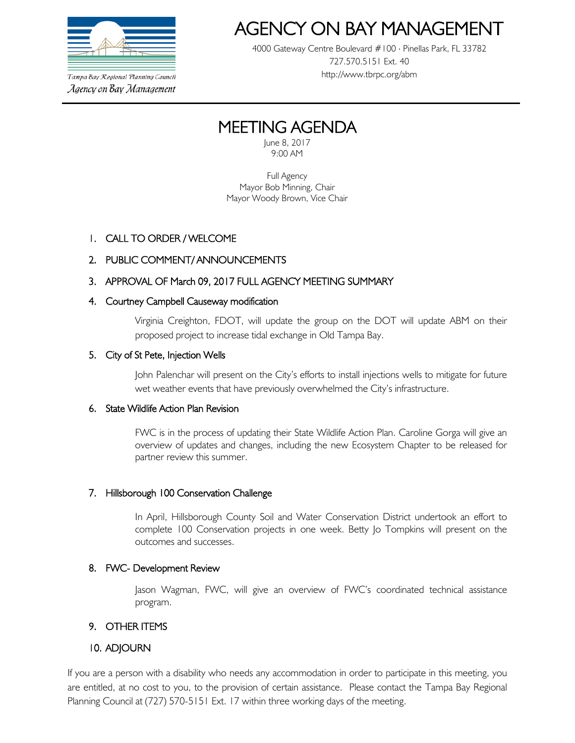

Tampa Bay Regional Planning Council Agency on Bay Management

# AGENCY ON BAY MANAGEMEN<br>4000 Gateway Centre Boulevard #100 ⋅ Pinellas Park, FL 33782

727.570.5151 Ext. 40 http://www.tbrpc.org/abm

# MEETING AGENDA

9:00 AM

Full Agency Mayor Bob Minning, Chair Mayor Woody Brown, Vice Chair

# 1. CALL TO ORDER / WELCOME

# 2. PUBLIC COMMENT/ ANNOUNCEMENTS

# 3. APPROVAL OF March 09, 2017 FULL AGENCY MEETING SUMMARY

### 4. Courtney Campbell Causeway modification

Virginia Creighton, FDOT, will update the group on the DOT will update ABM on their proposed project to increase tidal exchange in Old Tampa Bay.

### 5. City of St Pete, Injection Wells

John Palenchar will present on the City's efforts to install injections wells to mitigate for future wet weather events that have previously overwhelmed the City's infrastructure.

#### 6. State Wildlife Action Plan Revision

FWC is in the process of updating their State Wildlife Action Plan. Caroline Gorga will give an overview of updates and changes, including the new Ecosystem Chapter to be released for partner review this summer.

# 7. Hillsborough 100 Conservation Challenge

In April, Hillsborough County Soil and Water Conservation District undertook an effort to complete 100 Conservation projects in one week. Betty Jo Tompkins will present on the outcomes and successes.

# 8. FWC- Development Review

Jason Wagman, FWC, will give an overview of FWC's coordinated technical assistance program.

# 9. OTHER ITEMS

# 10. ADJOURN

If you are a person with a disability who needs any accommodation in order to participate in this meeting, you are entitled, at no cost to you, to the provision of certain assistance. Please contact the Tampa Bay Regional Planning Council at (727) 570-5151 Ext. 17 within three working days of the meeting.